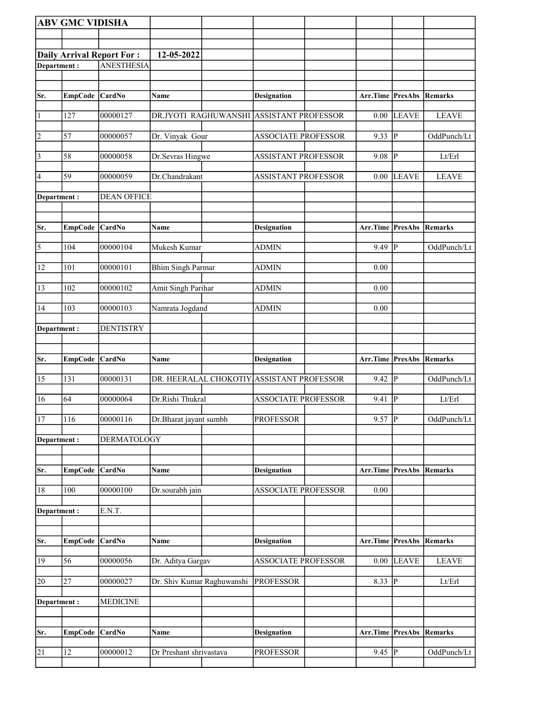|                         |                | <b>ABV GMC VIDISHA</b>           |                            |                                           |                                 |                |                             |
|-------------------------|----------------|----------------------------------|----------------------------|-------------------------------------------|---------------------------------|----------------|-----------------------------|
|                         |                |                                  |                            |                                           |                                 |                |                             |
|                         |                | <b>Daily Arrival Report For:</b> | 12-05-2022                 |                                           |                                 |                |                             |
| Department:             |                | <b>ANESTHESIA</b>                |                            |                                           |                                 |                |                             |
|                         |                |                                  |                            |                                           |                                 |                |                             |
| Sr.                     |                |                                  | Name                       |                                           | Arr.Time PresAbs Remarks        |                |                             |
|                         | EmpCode CardNo |                                  |                            | <b>Designation</b>                        |                                 |                |                             |
| $\vert$ 1               | 127            | 00000127                         |                            | DR.JYOTI RAGHUWANSHI ASSISTANT PROFESSOR  | 0.00                            | <b>LEAVE</b>   | <b>LEAVE</b>                |
| $\overline{2}$          | 57             | 00000057                         | Dr. Vinyak Gour            | <b>ASSOCIATE PROFESSOR</b>                | 9.33 $\sqrt{P}$                 |                | OddPunch/Lt                 |
| $\overline{3}$          | 58             | 00000058                         | Dr.Sevras Hingwe           | ASSISTANT PROFESSOR                       | 9.08                            | P              | Lt/Erl                      |
| $\vert 4$               | 59             | 00000059                         | Dr.Chandrakant             | ASSISTANT PROFESSOR                       | 0.00                            | <b>LEAVE</b>   | <b>LEAVE</b>                |
| Department :            |                | <b>DEAN OFFICE</b>               |                            |                                           |                                 |                |                             |
| Sr.                     | EmpCode CardNo |                                  | Name                       | <b>Designation</b>                        | <b>Arr.Time PresAbs Remarks</b> |                |                             |
| $\overline{\mathbf{5}}$ | 104            | 00000104                         | Mukesh Kumar               | <b>ADMIN</b>                              | 9.49                            | ∣P             | OddPunch/Lt                 |
| 12                      | 101            | 00000101                         | <b>Bhim Singh Parmar</b>   | <b>ADMIN</b>                              | 0.00                            |                |                             |
| 13                      | 102            | 00000102                         | Amit Singh Parihar         | <b>ADMIN</b>                              | 0.00                            |                |                             |
| 14                      | 103            | 00000103                         | Namrata Jogdand            | <b>ADMIN</b>                              | 0.00                            |                |                             |
| Department:             |                | <b>DENTISTRY</b>                 |                            |                                           |                                 |                |                             |
|                         |                |                                  |                            |                                           |                                 |                |                             |
|                         |                |                                  |                            |                                           |                                 |                |                             |
| Sr.                     | <b>EmpCode</b> | CardNo                           | Name                       | <b>Designation</b>                        | Arr.Time                        | PresAbs        | Remarks                     |
| 15                      | 131            | 00000131                         |                            | DR. HEERALAL CHOKOTIY ASSISTANT PROFESSOR | 9.42                            | P              | OddPunch/Lt                 |
| 16                      | 64             | 00000064                         | Dr.Rishi Thukral           | <b>ASSOCIATE PROFESSOR</b>                | 9.41                            | $\overline{P}$ | Lt/Erl                      |
| 17                      | 116            | 00000116                         | Dr.Bharat jayant sumbh     | <b>PROFESSOR</b>                          | $9.57$ P                        |                |                             |
| Department :            |                | <b>DERMATOLOGY</b>               |                            |                                           |                                 |                |                             |
| Sr.                     | <b>EmpCode</b> | <b>CardNo</b>                    | Name                       | <b>Designation</b>                        | Arr.Time                        | PresAbs        | Remarks                     |
| $18\,$                  | 100            | 00000100                         | Dr.sourabh jain            | <b>ASSOCIATE PROFESSOR</b>                | 0.00                            |                |                             |
| Department:             |                | E.N.T.                           |                            |                                           |                                 |                |                             |
|                         |                |                                  |                            |                                           |                                 |                |                             |
| Sr.                     | EmpCode CardNo |                                  | Name                       | <b>Designation</b>                        | <b>Arr.Time PresAbs Remarks</b> |                |                             |
| 19                      | 56             | 00000056                         | Dr. Aditya Gargav          | <b>ASSOCIATE PROFESSOR</b>                | $0.00\,$                        | <b>LEAVE</b>   | OddPunch/Lt<br><b>LEAVE</b> |
| 20                      | 27             | 00000027                         | Dr. Shiv Kumar Raghuwanshi | <b>PROFESSOR</b>                          | 8.33 $\vert \overline{P} \vert$ |                | Lt/Erl                      |
| Department:             |                | <b>MEDICINE</b>                  |                            |                                           |                                 |                |                             |
|                         |                |                                  |                            |                                           |                                 |                |                             |
| Sr.                     | <b>EmpCode</b> | <b>CardNo</b>                    | Name                       | <b>Designation</b>                        | Arr.Time PresAbs                |                | Remarks                     |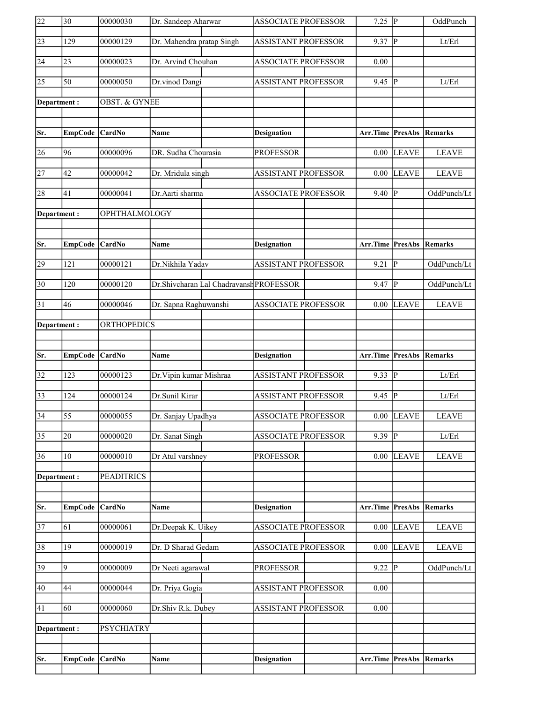| 22                     | $\overline{30}$       | 00000030                 | Dr. Sandeep Aharwar                     | <b>ASSOCIATE PROFESSOR</b>                       | $7.25$ P                 |                         | OddPunch     |
|------------------------|-----------------------|--------------------------|-----------------------------------------|--------------------------------------------------|--------------------------|-------------------------|--------------|
| $\overline{23}$        | 129                   | 00000129                 | Dr. Mahendra pratap Singh               | <b>ASSISTANT PROFESSOR</b>                       | 9.37                     | P                       | Lt/Erl       |
| 24                     | 23                    | 00000023                 | Dr. Arvind Chouhan                      | <b>ASSOCIATE PROFESSOR</b>                       | 0.00                     |                         |              |
| $\overline{25}$        | 50                    | 00000050                 | Dr.vinod Dangi                          | <b>ASSISTANT PROFESSOR</b>                       | 9.45                     | <sup> </sup> P          | Lt/Erl       |
|                        |                       |                          |                                         |                                                  |                          |                         |              |
| Department:            |                       | <b>OBST. &amp; GYNEE</b> |                                         |                                                  |                          |                         |              |
|                        |                       |                          |                                         |                                                  |                          |                         |              |
| Sr.                    | EmpCode CardNo        |                          | Name                                    | <b>Designation</b>                               | Arr.Time PresAbs         |                         | Remarks      |
| 26                     | 96                    | 00000096                 | DR. Sudha Chourasia                     | <b>PROFESSOR</b>                                 | 0.00                     | <b>LEAVE</b>            | <b>LEAVE</b> |
| $\overline{27}$        | 42                    | 00000042                 | Dr. Mridula singh                       | <b>ASSISTANT PROFESSOR</b>                       | 0.00                     | <b>LEAVE</b>            | <b>LEAVE</b> |
| 28                     | 41                    | 00000041                 | Dr.Aarti sharma                         | <b>ASSOCIATE PROFESSOR</b>                       | 9.40                     | P                       | OddPunch/Lt  |
| Department:            |                       | OPHTHALMOLOGY            |                                         |                                                  |                          |                         |              |
|                        |                       |                          |                                         |                                                  |                          |                         |              |
| Sr.                    | EmpCode CardNo        |                          | <b>Name</b>                             | <b>Designation</b>                               | Arr.Time PresAbs Remarks |                         |              |
| 29                     | 121                   | 00000121                 | Dr.Nikhila Yadav                        | <b>ASSISTANT PROFESSOR</b>                       | 9.21                     | $\overline{\mathbb{P}}$ | OddPunch/Lt  |
| $\overline{30}$        | 120                   | 00000120                 | Dr.Shivcharan Lal Chadravansh PROFESSOR |                                                  | 9.47                     | P                       | OddPunch/Lt  |
| 31                     | 46                    | 00000046                 | Dr. Sapna Raghuwanshi                   | <b>ASSOCIATE PROFESSOR</b>                       | 0.00                     | LEAVE                   | <b>LEAVE</b> |
| Department:            |                       | <b>ORTHOPEDICS</b>       |                                         |                                                  |                          |                         |              |
|                        |                       |                          |                                         |                                                  |                          |                         |              |
|                        |                       |                          |                                         |                                                  |                          |                         |              |
|                        |                       |                          | Name                                    |                                                  | Arr.Time                 | <b>PresAbs</b>          | Remarks      |
| Sr.<br>$\overline{32}$ | EmpCode CardNo<br>123 | 00000123                 | Dr. Vipin kumar Mishraa                 | <b>Designation</b><br><b>ASSISTANT PROFESSOR</b> | 9.33                     | P                       | Lt/Erl       |
| $\overline{33}$        | 124                   | 00000124                 | Dr.Sunil Kirar                          | <b>ASSISTANT PROFESSOR</b>                       | 9.45                     | ∣P                      | Lt/Erl       |
| $\overline{34}$        | $\overline{55}$       | 00000055                 | Dr. Sanjay Upadhya                      | <b>ASSOCIATE PROFESSOR</b>                       | 0.00                     | LEAVE                   | <b>LEAVE</b> |
| $\overline{35}$        | 20                    | 00000020                 | Dr. Sanat Singh                         | <b>ASSOCIATE PROFESSOR</b>                       | 9.39                     | IР                      | Lt/Erl       |
| 36                     | 10                    | 00000010                 | Dr Atul varshney                        | <b>PROFESSOR</b>                                 | 0.00                     | <b>LEAVE</b>            | <b>LEAVE</b> |
| Department:            |                       | <b>PEADITRICS</b>        |                                         |                                                  |                          |                         |              |
|                        |                       |                          |                                         |                                                  |                          |                         |              |
| Sr.                    | <b>EmpCode</b>        | CardNo                   | Name                                    | <b>Designation</b>                               | Arr.Time                 | PresAbs                 | Remarks      |
| $\overline{37}$        | 61                    | 00000061                 | Dr.Deepak K. Uikey                      | <b>ASSOCIATE PROFESSOR</b>                       | 0.00                     | <b>LEAVE</b>            | <b>LEAVE</b> |
| 38                     | 19                    | 00000019                 | Dr. D Sharad Gedam                      | <b>ASSOCIATE PROFESSOR</b>                       | 0.00                     | <b>LEAVE</b>            | <b>LEAVE</b> |
| 39                     | 9                     | 00000009                 | Dr Neeti agarawal                       | <b>PROFESSOR</b>                                 | 9.22                     | P                       | OddPunch/Lt  |
| 40                     | 44                    | 00000044                 | Dr. Priya Gogia                         | ASSISTANT PROFESSOR                              | 0.00                     |                         |              |
| 41                     | 60                    | 00000060                 | Dr.Shiv R.k. Dubey                      | ASSISTANT PROFESSOR                              | 0.00                     |                         |              |
|                        |                       |                          |                                         |                                                  |                          |                         |              |
| Department:            |                       | <b>PSYCHIATRY</b>        |                                         |                                                  |                          |                         |              |
| Sr.                    | <b>EmpCode</b>        | CardNo                   | Name                                    | <b>Designation</b>                               | Arr.Time                 | <b>PresAbs</b>          | Remarks      |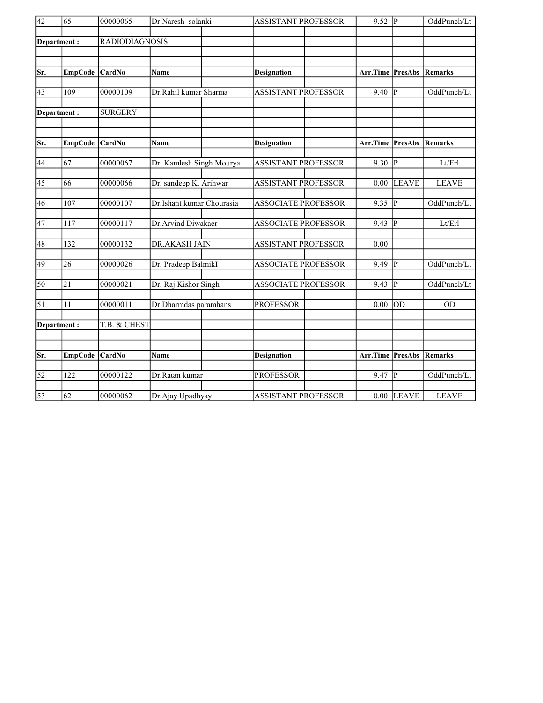| $\overline{42}$ | 65               | 00000065              | Dr Naresh solanki         |  | <b>ASSISTANT PROFESSOR</b> | $9.52 \overline{P}$ |                                 | OddPunch/Lt    |              |
|-----------------|------------------|-----------------------|---------------------------|--|----------------------------|---------------------|---------------------------------|----------------|--------------|
|                 | Department:      | <b>RADIODIAGNOSIS</b> |                           |  |                            |                     |                                 |                |              |
|                 |                  |                       |                           |  |                            |                     |                                 |                |              |
| Sr.             | <b>EmpCode</b>   | <b>CardNo</b>         | Name                      |  | <b>Designation</b>         |                     | Arr.Time                        | PresAbs        | Remarks      |
| 43              | 109              | 00000109              | Dr.Rahil kumar Sharma     |  | <b>ASSISTANT PROFESSOR</b> |                     | 9.40                            | lР             | OddPunch/Lt  |
|                 | Department:      | <b>SURGERY</b>        |                           |  |                            |                     |                                 |                |              |
| Sr.             | <b>EmpCode</b>   | <b>CardNo</b>         | <b>Name</b>               |  | <b>Designation</b>         |                     | <b>Arr.Time PresAbs Remarks</b> |                |              |
| 44              | 67               | 00000067              | Dr. Kamlesh Singh Mourya  |  | <b>ASSISTANT PROFESSOR</b> |                     | 9.30                            | $\overline{P}$ | Lt/Erl       |
| 45              | 66               | 00000066              | Dr. sandeep K. Arihwar    |  | <b>ASSISTANT PROFESSOR</b> |                     | 0.00                            | <b>LEAVE</b>   | <b>LEAVE</b> |
| 46              | 107              | 00000107              | Dr.Ishant kumar Chourasia |  | <b>ASSOCIATE PROFESSOR</b> |                     | 9.35                            | $\overline{P}$ | OddPunch/Lt  |
| $\overline{47}$ | 117              | 00000117              | Dr.Arvind Diwakaer        |  | <b>ASSOCIATE PROFESSOR</b> |                     | 9.43                            | ∣P             | Lt/Erl       |
| 48              | 132              | 00000132              | DR.AKASH JAIN             |  | <b>ASSISTANT PROFESSOR</b> |                     | 0.00                            |                |              |
| 49              | 26               | 00000026              | Dr. Pradeep BalmikI       |  | <b>ASSOCIATE PROFESSOR</b> |                     | 9.49                            | lР             | OddPunch/Lt  |
| 50              | 21               | 00000021              | Dr. Raj Kishor Singh      |  | <b>ASSOCIATE PROFESSOR</b> |                     | 9.43                            | P              | OddPunch/Lt  |
| $\overline{51}$ | 11               | 00000011              | Dr Dharmdas paramhans     |  | <b>PROFESSOR</b>           |                     | 0.00                            | OD             | <b>OD</b>    |
|                 | Department:      | T.B. & CHEST          |                           |  |                            |                     |                                 |                |              |
|                 |                  |                       |                           |  |                            |                     |                                 |                |              |
| Sr.             | <b>EmpCode</b>   | <b>CardNo</b>         | Name                      |  | <b>Designation</b>         |                     | Arr.Time PresAbs                |                | Remarks      |
| $\overline{52}$ | $\overline{122}$ | 00000122              | Dr.Ratan kumar            |  | <b>PROFESSOR</b>           |                     | 9.47                            | $\overline{P}$ | OddPunch/Lt  |
| $\overline{53}$ | 62               | 00000062              | Dr.Ajay Upadhyay          |  | <b>ASSISTANT PROFESSOR</b> |                     |                                 | $0.00$ LEAVE   | <b>LEAVE</b> |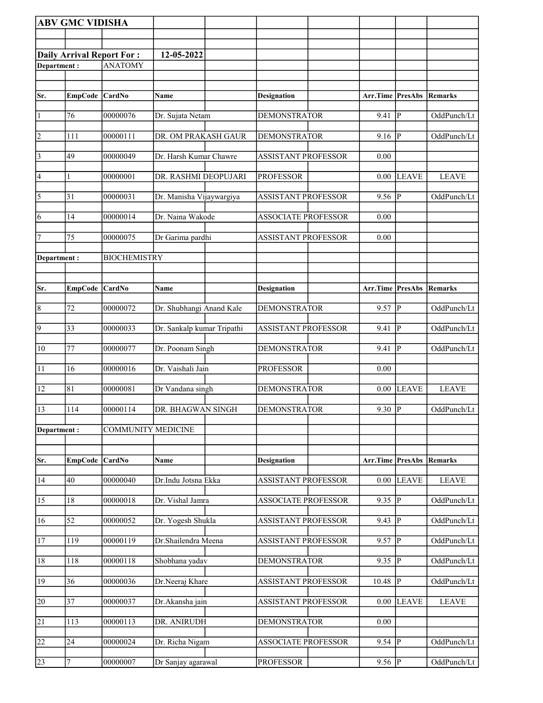| <b>ABV GMC VIDISHA</b> |                 |                           |                            |                            |                  |                |              |
|------------------------|-----------------|---------------------------|----------------------------|----------------------------|------------------|----------------|--------------|
|                        |                 |                           |                            |                            |                  |                |              |
|                        |                 | Daily Arrival Report For: | 12-05-2022                 |                            |                  |                |              |
| Department:            |                 | <b>ANATOMY</b>            |                            |                            |                  |                |              |
|                        |                 |                           |                            |                            |                  |                |              |
| Sr.                    | EmpCode CardNo  |                           | Name                       | <b>Designation</b>         | Arr.Time PresAbs |                | Remarks      |
|                        |                 |                           |                            |                            |                  |                |              |
| 1                      | 76              | 00000076                  | Dr. Sujata Netam           | <b>DEMONSTRATOR</b>        | 9.41             | $\overline{P}$ | OddPunch/Lt  |
| 2                      | 111             | 00000111                  | DR. OM PRAKASH GAUR        | <b>DEMONSTRATOR</b>        | 9.16             | lР             | OddPunch/Lt  |
| $\vert$ 3              | 49              | 00000049                  | Dr. Harsh Kumar Chawre     | <b>ASSISTANT PROFESSOR</b> | 0.00             |                |              |
| 4                      | 1               | 00000001                  | DR. RASHMI DEOPUJARI       | <b>PROFESSOR</b>           | 0.00             | <b>LEAVE</b>   | <b>LEAVE</b> |
| 5                      | 31              | 00000031                  | Dr. Manisha Vijaywargiya   | <b>ASSISTANT PROFESSOR</b> | 9.56             | P              | OddPunch/Lt  |
| 6                      | 14              | 00000014                  | Dr. Naina Wakode           | <b>ASSOCIATE PROFESSOR</b> | 0.00             |                |              |
| 7                      | 75              | 00000075                  | Dr Garima pardhi           | <b>ASSISTANT PROFESSOR</b> | 0.00             |                |              |
| Department:            |                 | <b>BIOCHEMISTRY</b>       |                            |                            |                  |                |              |
|                        |                 |                           |                            |                            |                  |                |              |
|                        |                 |                           |                            |                            |                  |                |              |
| Sr.                    | <b>EmpCode</b>  | <b>CardNo</b>             | Name                       | <b>Designation</b>         | Arr.Time         | PresAbs        | Remarks      |
| $\overline{8}$         | 72              | 00000072                  | Dr. Shubhangi Anand Kale   | <b>DEMONSTRATOR</b>        | 9.57             | P              | OddPunch/Lt  |
|                        |                 |                           |                            |                            |                  |                |              |
| $\overline{9}$         | $ 33\rangle$    | 00000033                  | Dr. Sankalp kumar Tripathi | ASSISTANT PROFESSOR        | 9.41             | ₽              | OddPunch/Lt  |
| 10                     | 77              | 00000077                  | Dr. Poonam Singh           | <b>DEMONSTRATOR</b>        | 9.41             | ∣P             | OddPunch/Lt  |
| 11                     | 16              | 00000016                  | Dr. Vaishali Jain          | <b>PROFESSOR</b>           | 0.00             |                |              |
| 12                     | 81              | 00000081                  | Dr Vandana singh           | <b>DEMONSTRATOR</b>        | 0.00             | <b>LEAVE</b>   | <b>LEAVE</b> |
| $\sqrt{13}$            | 114             | 00000114                  | DR. BHAGWAN SINGH          | <b>DEMONSTRATOR</b>        | $9.30$ P         |                | OddPunch/Lt  |
| Department:            |                 | <b>COMMUNITY MEDICINE</b> |                            |                            |                  |                |              |
|                        |                 |                           |                            |                            |                  |                |              |
|                        |                 |                           |                            |                            |                  |                |              |
| Sr.                    | <b>EmpCode</b>  | CardNo                    | Name                       | <b>Designation</b>         | Arr.Time PresAbs |                | Remarks      |
| 14                     | 40              | 00000040                  | Dr.Indu Jotsna Ekka        | ASSISTANT PROFESSOR        | 0.00             | <b>LEAVE</b>   | <b>LEAVE</b> |
| 15                     | 18              | 00000018                  | Dr. Vishal Jamra           | <b>ASSOCIATE PROFESSOR</b> | 9.35             | $ {\bf p} $    | OddPunch/Lt  |
| 16                     | $\overline{52}$ | 00000052                  | Dr. Yogesh Shukla          | <b>ASSISTANT PROFESSOR</b> | 9.43             | P              | OddPunch/Lt  |
| 17                     | 119             | 00000119                  | Dr.Shailendra Meena        | ASSISTANT PROFESSOR        | 9.57             | P              | OddPunch/Lt  |
| 18                     | 118             | 00000118                  | Shobhana yadav             | DEMONSTRATOR               | 9.35             | $ {\bf P} $    | OddPunch/Lt  |
| 19                     | 36              | 00000036                  | Dr.Neeraj Khare            | <b>ASSISTANT PROFESSOR</b> | 10.48            | $ {\bf p} $    | OddPunch/Lt  |
| 20                     | $\overline{37}$ | 00000037                  | Dr.Akansha jain            | <b>ASSISTANT PROFESSOR</b> | 0.00             | <b>LEAVE</b>   | <b>LEAVE</b> |
| $\overline{21}$        | 113             | 00000113                  | DR. ANIRUDH                | <b>DEMONSTRATOR</b>        | 0.00             |                |              |
| 22                     | 24              | 00000024                  | Dr. Richa Nigam            | <b>ASSOCIATE PROFESSOR</b> | 9.54             | P              | OddPunch/Lt  |
| 23                     | 7               | 00000007                  | Dr Sanjay agarawal         | <b>PROFESSOR</b>           | 9.56 $ P $       |                | OddPunch/Lt  |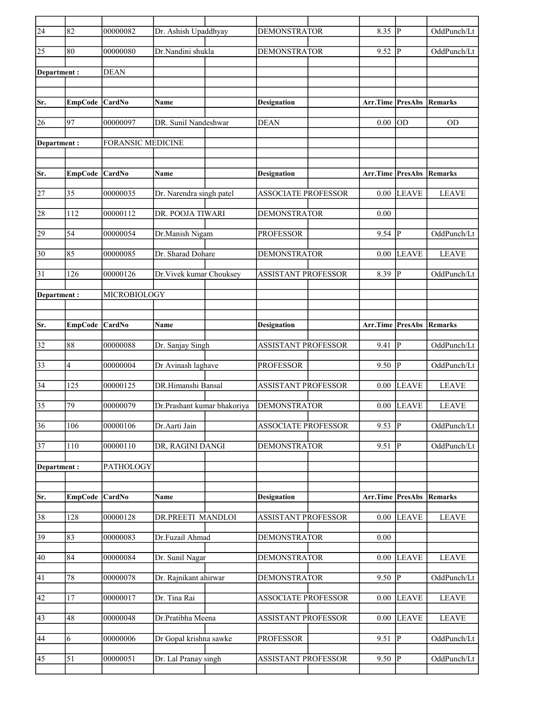| $\overline{24}$ | 82              | 00000082          | Dr. Ashish Upaddhyay        | <b>DEMONSTRATOR</b>        | 8.35                            | lР                      | OddPunch/Lt    |
|-----------------|-----------------|-------------------|-----------------------------|----------------------------|---------------------------------|-------------------------|----------------|
| 25              | 80              | 00000080          | Dr.Nandini shukla           | <b>DEMONSTRATOR</b>        | 9.52                            | P                       | OddPunch/Lt    |
| Department:     |                 | <b>DEAN</b>       |                             |                            |                                 |                         |                |
|                 |                 |                   |                             |                            |                                 |                         |                |
| Sr.             | EmpCode CardNo  |                   | Name                        | <b>Designation</b>         | <b>Arr.Time PresAbs</b>         |                         | Remarks        |
| 26              | 97              | 00000097          | DR. Sunil Nandeshwar        | <b>DEAN</b>                | 0.00                            | lod                     | <b>OD</b>      |
| Department:     |                 | FORANSIC MEDICINE |                             |                            |                                 |                         |                |
|                 |                 |                   |                             |                            |                                 |                         |                |
| Sr.             | EmpCode CardNo  |                   | Name                        | <b>Designation</b>         | <b>Arr.Time PresAbs Remarks</b> |                         |                |
| 27              | 35              | 00000035          | Dr. Narendra singh patel    | <b>ASSOCIATE PROFESSOR</b> | 0.00                            | LEAVE                   | <b>LEAVE</b>   |
| 28              | 112             | 00000112          | DR. POOJA TIWARI            | <b>DEMONSTRATOR</b>        | 0.00                            |                         |                |
| 29              | 54              | 00000054          | Dr.Manish Nigam             | <b>PROFESSOR</b>           | 9.54                            | lР                      | OddPunch/Lt    |
| 30              | 85              | 00000085          | Dr. Sharad Dohare           | <b>DEMONSTRATOR</b>        | 0.00                            | LEAVE                   | <b>LEAVE</b>   |
| 31              | 126             | 00000126          | Dr. Vivek kumar Chouksey    | <b>ASSISTANT PROFESSOR</b> | 8.39                            | P                       | OddPunch/Lt    |
| Department :    |                 | MICROBIOLOGY      |                             |                            |                                 |                         |                |
|                 |                 |                   |                             |                            |                                 |                         |                |
| Sr.             | EmpCode CardNo  |                   | Name                        | <b>Designation</b>         | Arr.Time PresAbs                |                         | Remarks        |
| 32              | 88              | 00000088          | Dr. Sanjay Singh            | ASSISTANT PROFESSOR        | 9.41                            | p                       | OddPunch/Lt    |
| $\overline{33}$ | 4               | 00000004          | Dr Avinash laghave          | <b>PROFESSOR</b>           | 9.50                            | P                       | OddPunch/Lt    |
| 34              | 125             | 00000125          | DR.Himanshi Bansal          | <b>ASSISTANT PROFESSOR</b> | 0.00                            | LEAVE                   | <b>LEAVE</b>   |
| 35              | 79              | 00000079          | Dr.Prashant kumar bhakoriya | <b>DEMONSTRATOR</b>        | 0.00                            | <b>LEAVE</b>            | <b>LEAVE</b>   |
| $\overline{36}$ | 106             | 00000106          | Dr.Aarti Jain               | <b>ASSOCIATE PROFESSOR</b> | 9.53                            | $\overline{\mathbb{P}}$ | OddPunch/Lt    |
| 37              | 110             | 00000110          | DR, RAGINI DANGI            | <b>DEMONSTRATOR</b>        | 9.51                            | P                       | OddPunch/Lt    |
| Department:     |                 | PATHOLOGY         |                             |                            |                                 |                         |                |
|                 |                 |                   |                             |                            |                                 |                         |                |
| Sr.             | <b>EmpCode</b>  | CardNo            | Name                        | <b>Designation</b>         | Arr.Time                        | PresAbs                 | <b>Remarks</b> |
| 38              | 128             | 00000128          | DR.PREETI MANDLOI           | <b>ASSISTANT PROFESSOR</b> | 0.00                            | <b>LEAVE</b>            | <b>LEAVE</b>   |
| 39              | 83              | 00000083          | Dr.Fuzail Ahmad             | <b>DEMONSTRATOR</b>        | 0.00                            |                         |                |
| 40              | 84              | 00000084          | Dr. Sunil Nagar             | <b>DEMONSTRATOR</b>        | 0.00                            | <b>LEAVE</b>            | <b>LEAVE</b>   |
| 41              | $78\,$          | 00000078          | Dr. Rajnikant ahirwar       | <b>DEMONSTRATOR</b>        | 9.50                            | P                       | OddPunch/Lt    |
| 42              | $17\,$          | 00000017          | Dr. Tina Rai                | <b>ASSOCIATE PROFESSOR</b> | 0.00                            | <b>LEAVE</b>            | <b>LEAVE</b>   |
| 43              | 48              | 00000048          | Dr.Pratibha Meena           | <b>ASSISTANT PROFESSOR</b> | 0.00                            | LEAVE                   | <b>LEAVE</b>   |
| 44              | 6               | 00000006          | Dr Gopal krishna sawke      | <b>PROFESSOR</b>           | 9.51                            | $\overline{P}$          | OddPunch/Lt    |
| $ 45\rangle$    | $\overline{51}$ | 00000051          | Dr. Lal Pranay singh        | <b>ASSISTANT PROFESSOR</b> | $9.50$ P                        |                         | OddPunch/Lt    |
|                 |                 |                   |                             |                            |                                 |                         |                |